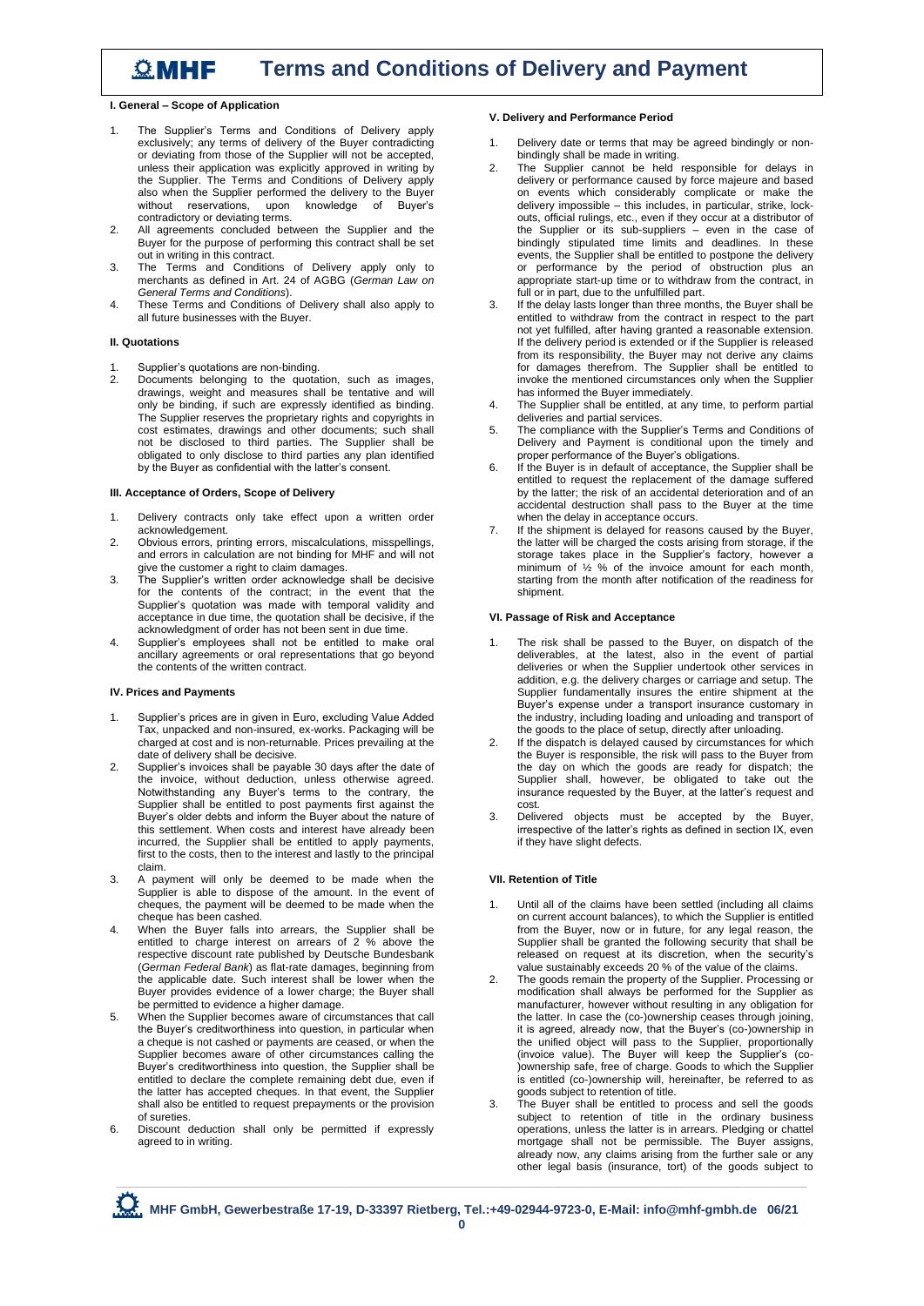# *C***<sub>m</sub> MHF Terms and Conditions of Delivery and Payment**

**I. General – Scope of Application**

- 1. The Supplier's Terms and Conditions of Delivery apply exclusively; any terms of delivery of the Buyer contradicting or deviating from those of the Supplier will not be accepted, unless their application was explicitly approved in writing by the Supplier. The Terms and Conditions of Delivery apply also when the Supplier performed the delivery to the Buyer without reservations, upon knowledge of Buyer's contradictory or deviating terms.
- 2. All agreements concluded between the Supplier and the Buyer for the purpose of performing this contract shall be set out in writing in this contract.
- 3. The Terms and Conditions of Delivery apply only to merchants as defined in Art. 24 of AGBG (*German Law on General Terms and Conditions*).
- 4. These Terms and Conditions of Delivery shall also apply to all future businesses with the Buyer.

# **II. Quotations**

- 1. Supplier's quotations are non-binding.<br>2. Documents, belonging to the quota
- 2. Documents belonging to the quotation, such as images, drawings, weight and measures shall be tentative and will only be binding, if such are expressly identified as binding. The Supplier reserves the proprietary rights and copyrights in cost estimates, drawings and other documents; such shall not be disclosed to third parties. The Supplier shall be obligated to only disclose to third parties any plan identified by the Buyer as confidential with the latter's consent.

# **III. Acceptance of Orders, Scope of Delivery**

- 1. Delivery contracts only take effect upon a written order acknowledgement.
- 2. Obvious errors, printing errors, miscalculations, misspellings, and errors in calculation are not binding for MHF and will not give the customer a right to claim damages
- 3. The Supplier's written order acknowledge shall be decisive for the contents of the contract; in the event that the Supplier's quotation was made with temporal validity and acceptance in due time, the quotation shall be decisive, if the acknowledgment of order has not been sent in due time.
- 4. Supplier's employees shall not be entitled to make oral ancillary agreements or oral representations that go beyond the contents of the written contract.

## **IV. Prices and Payments**

- Supplier's prices are in given in Euro, excluding Value Added Tax, unpacked and non-insured, ex-works. Packaging will be charged at cost and is non-returnable. Prices prevailing at the date of delivery shall be decisive.
- 2. Supplier's invoices shall be payable 30 days after the date of the invoice, without deduction, unless otherwise agreed. Notwithstanding any Buyer's terms to the contrary, the Supplier shall be entitled to post payments first against the Buyer's older debts and inform the Buyer about the nature of this settlement. When costs and interest have already been incurred, the Supplier shall be entitled to apply payments, first to the costs, then to the interest and lastly to the principal claim.
- 3. A payment will only be deemed to be made when the Supplier is able to dispose of the amount. In the event of cheques, the payment will be deemed to be made when the cheque has been cashed.
- 4. When the Buyer falls into arrears, the Supplier shall be entitled to charge interest on arrears of 2 % above the respective discount rate published by Deutsche Bundesbank (*German Federal Bank*) as flat-rate damages, beginning from the applicable date. Such interest shall be lower when the Buyer provides evidence of a lower charge; the Buyer shall be permitted to evidence a higher damage.
- 5. When the Supplier becomes aware of circumstances that call the Buyer's creditworthiness into question, in particular when a cheque is not cashed or payments are ceased, or when the Supplier becomes aware of other circumstances calling the Buyer's creditworthiness into question, the Supplier shall be entitled to declare the complete remaining debt due, even if the latter has accepted cheques. In that event, the Supplier shall also be entitled to request prepayments or the provision of sureties.
- 6. Discount deduction shall only be permitted if expressly agreed to in writing.

# **V. Delivery and Performance Period**

- 1. Delivery date or terms that may be agreed bindingly or nonbindingly shall be made in writing.
- 2. The Supplier cannot be held responsible for delays in delivery or performance caused by force majeure and based on events which considerably complicate or make the delivery impossible – this includes, in particular, strike, lockouts, official rulings, etc., even if they occur at a distributor of the Supplier or its sub-suppliers – even in the case of bindingly stipulated time limits and deadlines. In these events, the Supplier shall be entitled to postpone the delivery or performance by the period of obstruction plus an appropriate start-up time or to withdraw from the contract, in full or in part, due to the unfulfilled part.
- 3. If the delay lasts longer than three months, the Buyer shall be entitled to withdraw from the contract in respect to the part not yet fulfilled, after having granted a reasonable extension. If the delivery period is extended or if the Supplier is released from its responsibility, the Buyer may not derive any claims for damages therefrom. The Supplier shall be entitled to invoke the mentioned circumstances only when the Supplier has informed the Buyer immediately.
- 4. The Supplier shall be entitled, at any time, to perform partial deliveries and partial services.
- 5. The compliance with the Supplier's Terms and Conditions of Delivery and Payment is conditional upon the timely and proper performance of the Buyer's obligations.
- 6. If the Buyer is in default of acceptance, the Supplier shall be entitled to request the replacement of the damage suffered by the latter; the risk of an accidental deterioration and of an accidental destruction shall pass to the Buyer at the time when the delay in acceptance occurs.
- 7. If the shipment is delayed for reasons caused by the Buyer, the latter will be charged the costs arising from storage, if the storage takes place in the Supplier's factory, however a minimum of ½ % of the invoice amount for each month, starting from the month after notification of the readiness for shipment.

## **VI. Passage of Risk and Acceptance**

- 1. The risk shall be passed to the Buyer, on dispatch of the deliverables, at the latest, also in the event of partial deliveries or when the Supplier undertook other services in addition, e.g. the delivery charges or carriage and setup. The Supplier fundamentally insures the entire shipment at the Buyer's expense under a transport insurance customary in the industry, including loading and unloading and transport of the goods to the place of setup, directly after unloading.
- 2. If the dispatch is delayed caused by circumstances for which the Buyer is responsible, the risk will pass to the Buyer from the day on which the goods are ready for dispatch; the Supplier shall, however, be obligated to take out the insurance requested by the Buyer, at the latter's request and cost.
- 3. Delivered objects must be accepted by the Buyer, irrespective of the latter's rights as defined in section IX, even if they have slight defects.

# **VII. Retention of Title**

- Until all of the claims have been settled (including all claims on current account balances), to which the Supplier is entitled from the Buyer, now or in future, for any legal reason, the Supplier shall be granted the following security that shall be released on request at its discretion, when the security's value sustainably exceeds 20 % of the value of the claims.
- 2. The goods remain the property of the Supplier. Processing or modification shall always be performed for the Supplier as manufacturer, however without resulting in any obligation for the latter. In case the (co-)ownership ceases through joining, it is agreed, already now, that the Buyer's (co-)ownership in the unified object will pass to the Supplier, proportionally (invoice value). The Buyer will keep the Supplier's (co- )ownership safe, free of charge. Goods to which the Supplier is entitled (co-)ownership will, hereinafter, be referred to as goods subject to retention of title.
- **\_\_\_\_\_\_\_\_\_\_\_\_\_\_\_\_\_\_\_\_\_\_\_\_\_\_\_\_\_\_\_\_\_\_\_\_\_\_\_\_\_\_\_\_\_\_\_\_\_\_\_\_\_\_\_\_\_\_\_\_\_\_\_\_\_\_\_\_\_\_\_\_\_\_\_\_\_\_\_\_\_\_\_\_\_\_\_\_\_\_\_\_\_\_\_\_\_\_\_\_** 3. The Buyer shall be entitled to process and sell the goods subject to retention of title in the ordinary business operations, unless the latter is in arrears. Pledging or chattel mortgage shall not be permissible. The Buyer assigns, already now, any claims arising from the further sale or any other legal basis (insurance, tort) of the goods subject to

 **MHF GmbH, Gewerbestraße 17-19, D-33397 Rietberg, Tel.:+49-02944-9723-0, E-Mail: info@mhf-gmbh.de 06/21**